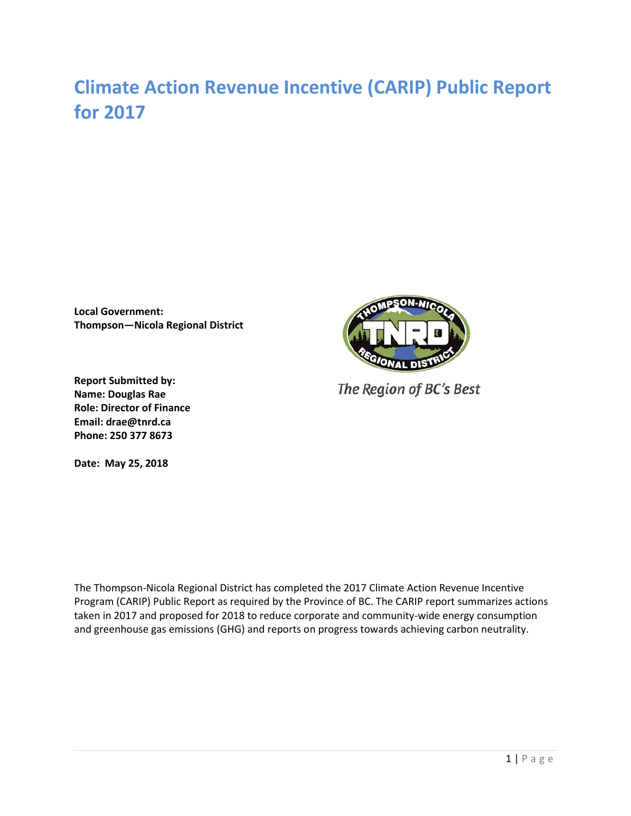# **Climate Action Revenue Incentive (CARIP) Public Report for 2017**

**Local Government: Thompson—Nicola Regional District**



The Region of BC's Best

**Report Submitted by: Name: Douglas Rae Role: Director of Finance Email: drae@tnrd.ca Phone: 250 377 8673**

**Date: May 25, 2018**

The Thompson-Nicola Regional District has completed the 2017 Climate Action Revenue Incentive Program (CARIP) Public Report as required by the Province of BC. The CARIP report summarizes actions taken in 2017 and proposed for 2018 to reduce corporate and community-wide energy consumption and greenhouse gas emissions (GHG) and reports on progress towards achieving carbon neutrality.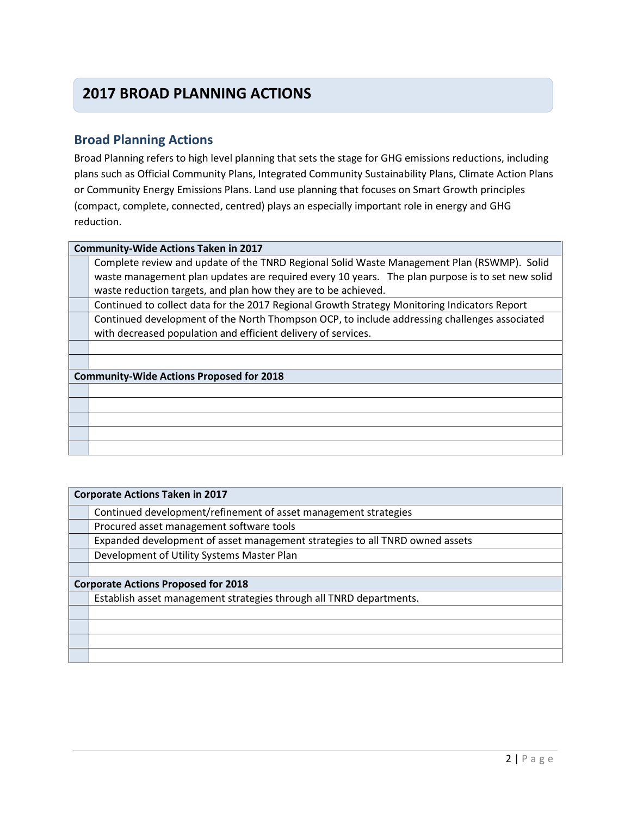## **2017 BROAD PLANNING ACTIONS**

## **Broad Planning Actions**

Broad Planning refers to high level planning that sets the stage for GHG emissions reductions, including plans such as Official Community Plans, Integrated Community Sustainability Plans, Climate Action Plans or Community Energy Emissions Plans. Land use planning that focuses on Smart Growth principles (compact, complete, connected, centred) plays an especially important role in energy and GHG reduction.

#### **Community-Wide Actions Taken in 2017**

Complete review and update of the TNRD Regional Solid Waste Management Plan (RSWMP). Solid waste management plan updates are required every 10 years. The plan purpose is to set new solid waste reduction targets, and plan how they are to be achieved.

Continued to collect data for the 2017 Regional Growth Strategy Monitoring Indicators Report

Continued development of the North Thompson OCP, to include addressing challenges associated with decreased population and efficient delivery of services.

### **Community-Wide Actions Proposed for 2018**

| <b>Corporate Actions Taken in 2017</b>                                       |  |  |
|------------------------------------------------------------------------------|--|--|
| Continued development/refinement of asset management strategies              |  |  |
| Procured asset management software tools                                     |  |  |
| Expanded development of asset management strategies to all TNRD owned assets |  |  |
| Development of Utility Systems Master Plan                                   |  |  |
|                                                                              |  |  |
| <b>Corporate Actions Proposed for 2018</b>                                   |  |  |
| Establish asset management strategies through all TNRD departments.          |  |  |
|                                                                              |  |  |
|                                                                              |  |  |
|                                                                              |  |  |
|                                                                              |  |  |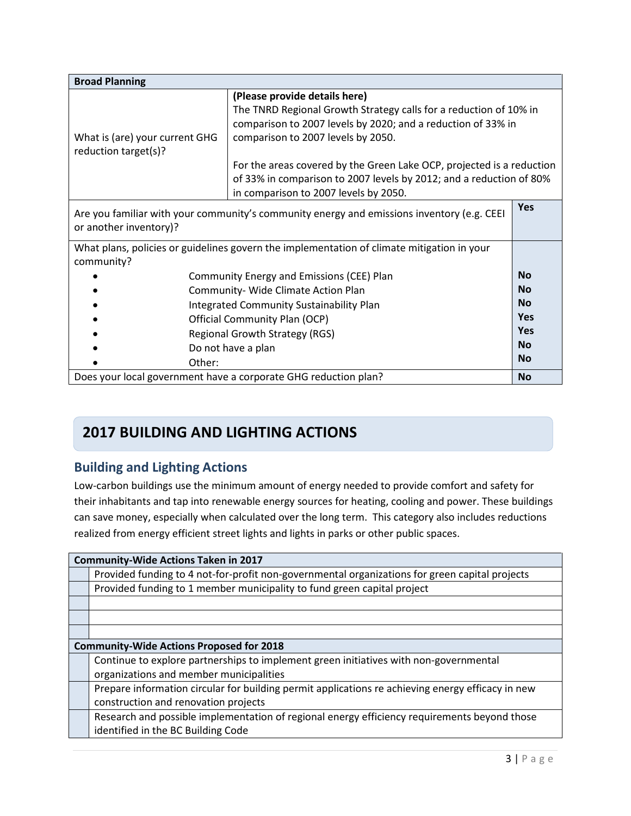| <b>Broad Planning</b>                                                                                                |                                                                                                                                                                                                                                                                                                                                                                                                   |            |
|----------------------------------------------------------------------------------------------------------------------|---------------------------------------------------------------------------------------------------------------------------------------------------------------------------------------------------------------------------------------------------------------------------------------------------------------------------------------------------------------------------------------------------|------------|
| What is (are) your current GHG<br>reduction target(s)?                                                               | (Please provide details here)<br>The TNRD Regional Growth Strategy calls for a reduction of 10% in<br>comparison to 2007 levels by 2020; and a reduction of 33% in<br>comparison to 2007 levels by 2050.<br>For the areas covered by the Green Lake OCP, projected is a reduction<br>of 33% in comparison to 2007 levels by 2012; and a reduction of 80%<br>in comparison to 2007 levels by 2050. |            |
| Are you familiar with your community's community energy and emissions inventory (e.g. CEEI<br>or another inventory)? |                                                                                                                                                                                                                                                                                                                                                                                                   | <b>Yes</b> |
| What plans, policies or guidelines govern the implementation of climate mitigation in your<br>community?             |                                                                                                                                                                                                                                                                                                                                                                                                   |            |
|                                                                                                                      | Community Energy and Emissions (CEE) Plan                                                                                                                                                                                                                                                                                                                                                         | <b>No</b>  |
|                                                                                                                      | Community- Wide Climate Action Plan                                                                                                                                                                                                                                                                                                                                                               | <b>No</b>  |
|                                                                                                                      | Integrated Community Sustainability Plan                                                                                                                                                                                                                                                                                                                                                          | <b>No</b>  |
|                                                                                                                      | Official Community Plan (OCP)                                                                                                                                                                                                                                                                                                                                                                     | <b>Yes</b> |
|                                                                                                                      | <b>Regional Growth Strategy (RGS)</b>                                                                                                                                                                                                                                                                                                                                                             | Yes        |
|                                                                                                                      | Do not have a plan                                                                                                                                                                                                                                                                                                                                                                                | <b>No</b>  |
| Other:                                                                                                               |                                                                                                                                                                                                                                                                                                                                                                                                   | <b>No</b>  |
|                                                                                                                      | Does your local government have a corporate GHG reduction plan?                                                                                                                                                                                                                                                                                                                                   | <b>No</b>  |

## **2017 BUILDING AND LIGHTING ACTIONS**

## **Building and Lighting Actions**

Low-carbon buildings use the minimum amount of energy needed to provide comfort and safety for their inhabitants and tap into renewable energy sources for heating, cooling and power. These buildings can save money, especially when calculated over the long term. This category also includes reductions realized from energy efficient street lights and lights in parks or other public spaces.

| <b>Community-Wide Actions Taken in 2017</b>                                                       |  |  |
|---------------------------------------------------------------------------------------------------|--|--|
| Provided funding to 4 not-for-profit non-governmental organizations for green capital projects    |  |  |
| Provided funding to 1 member municipality to fund green capital project                           |  |  |
|                                                                                                   |  |  |
|                                                                                                   |  |  |
|                                                                                                   |  |  |
| <b>Community-Wide Actions Proposed for 2018</b>                                                   |  |  |
| Continue to explore partnerships to implement green initiatives with non-governmental             |  |  |
| organizations and member municipalities                                                           |  |  |
| Prepare information circular for building permit applications re achieving energy efficacy in new |  |  |
| construction and renovation projects                                                              |  |  |
| Research and possible implementation of regional energy efficiency requirements beyond those      |  |  |
| identified in the BC Building Code                                                                |  |  |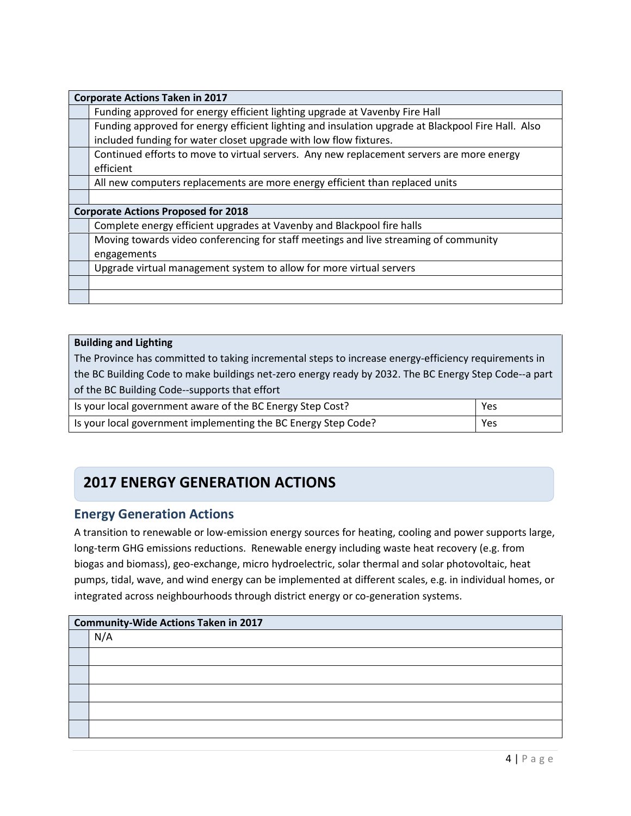| <b>Corporate Actions Taken in 2017</b>                                                             |  |  |
|----------------------------------------------------------------------------------------------------|--|--|
| Funding approved for energy efficient lighting upgrade at Vavenby Fire Hall                        |  |  |
| Funding approved for energy efficient lighting and insulation upgrade at Blackpool Fire Hall. Also |  |  |
| included funding for water closet upgrade with low flow fixtures.                                  |  |  |
| Continued efforts to move to virtual servers. Any new replacement servers are more energy          |  |  |
| efficient                                                                                          |  |  |
| All new computers replacements are more energy efficient than replaced units                       |  |  |
|                                                                                                    |  |  |
| <b>Corporate Actions Proposed for 2018</b>                                                         |  |  |
| Complete energy efficient upgrades at Vavenby and Blackpool fire halls                             |  |  |
| Moving towards video conferencing for staff meetings and live streaming of community               |  |  |
| engagements                                                                                        |  |  |
| Upgrade virtual management system to allow for more virtual servers                                |  |  |
|                                                                                                    |  |  |
|                                                                                                    |  |  |

#### **Building and Lighting**

The Province has committed to taking incremental steps to increase energy-efficiency requirements in the BC Building Code to make buildings net-zero energy ready by 2032. The BC Energy Step Code--a part of the BC Building Code--supports that effort

| Is your local government aware of the BC Energy Step Cost?     | Yes |
|----------------------------------------------------------------|-----|
| Is your local government implementing the BC Energy Step Code? | Yes |

## **2017 ENERGY GENERATION ACTIONS**

### **Energy Generation Actions**

A transition to renewable or low-emission energy sources for heating, cooling and power supports large, long-term GHG emissions reductions. Renewable energy including waste heat recovery (e.g. from biogas and biomass), geo-exchange, micro hydroelectric, solar thermal and solar photovoltaic, heat pumps, tidal, wave, and wind energy can be implemented at different scales, e.g. in individual homes, or integrated across neighbourhoods through district energy or co-generation systems.

| <b>Community-Wide Actions Taken in 2017</b> |  |  |
|---------------------------------------------|--|--|
| N/A                                         |  |  |
|                                             |  |  |
|                                             |  |  |
|                                             |  |  |
|                                             |  |  |
|                                             |  |  |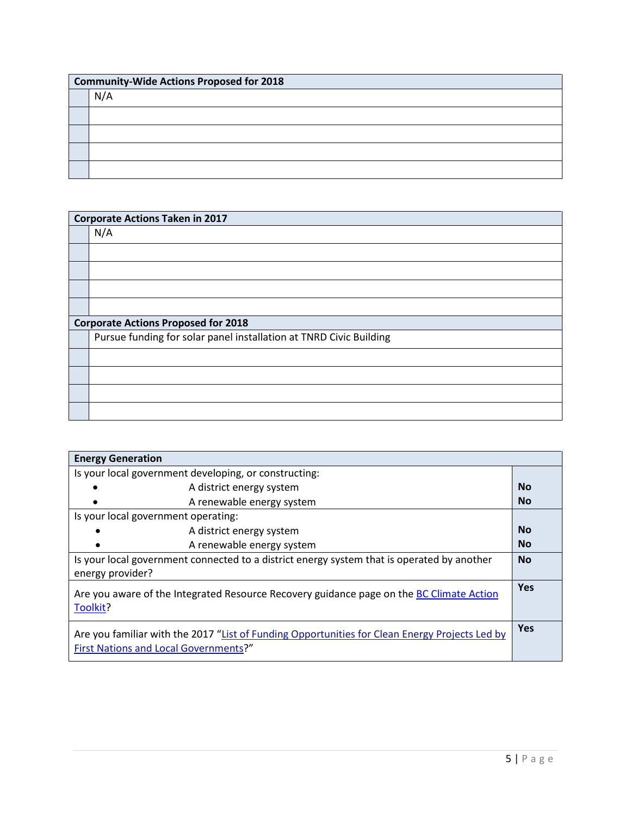| <b>Community-Wide Actions Proposed for 2018</b> |  |  |
|-------------------------------------------------|--|--|
| N/A                                             |  |  |
|                                                 |  |  |
|                                                 |  |  |
|                                                 |  |  |
|                                                 |  |  |

|                                                                    | <b>Corporate Actions Taken in 2017</b>     |  |  |
|--------------------------------------------------------------------|--------------------------------------------|--|--|
|                                                                    | N/A                                        |  |  |
|                                                                    |                                            |  |  |
|                                                                    |                                            |  |  |
|                                                                    |                                            |  |  |
|                                                                    |                                            |  |  |
|                                                                    | <b>Corporate Actions Proposed for 2018</b> |  |  |
| Pursue funding for solar panel installation at TNRD Civic Building |                                            |  |  |
|                                                                    |                                            |  |  |
|                                                                    |                                            |  |  |
|                                                                    |                                            |  |  |
|                                                                    |                                            |  |  |

| <b>Energy Generation</b>                                                                                                                |            |
|-----------------------------------------------------------------------------------------------------------------------------------------|------------|
| Is your local government developing, or constructing:                                                                                   |            |
| A district energy system                                                                                                                | <b>No</b>  |
| A renewable energy system                                                                                                               | <b>No</b>  |
| Is your local government operating:                                                                                                     |            |
| A district energy system                                                                                                                | <b>No</b>  |
| A renewable energy system                                                                                                               | <b>No</b>  |
| Is your local government connected to a district energy system that is operated by another                                              | <b>No</b>  |
| energy provider?                                                                                                                        |            |
| <b>Yes</b><br>Are you aware of the Integrated Resource Recovery guidance page on the BC Climate Action<br>Toolkit?                      |            |
| Are you familiar with the 2017 "List of Funding Opportunities for Clean Energy Projects Led by<br>First Nations and Local Governments?" | <b>Yes</b> |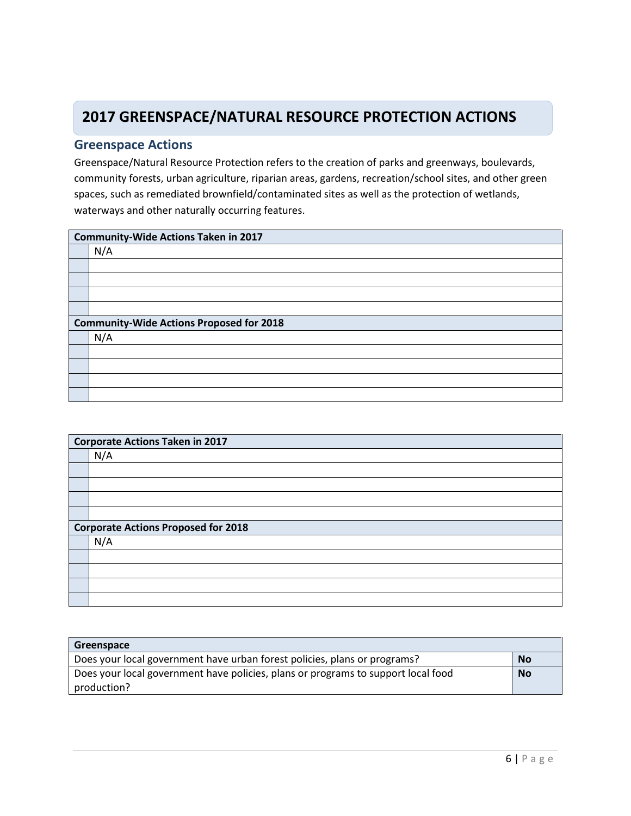## **2017 GREENSPACE/NATURAL RESOURCE PROTECTION ACTIONS**

### **Greenspace Actions**

Greenspace/Natural Resource Protection refers to the creation of parks and greenways, boulevards, community forests, urban agriculture, riparian areas, gardens, recreation/school sites, and other green spaces, such as remediated brownfield/contaminated sites as well as the protection of wetlands, waterways and other naturally occurring features.

| <b>Community-Wide Actions Taken in 2017</b>     |  |  |
|-------------------------------------------------|--|--|
| N/A                                             |  |  |
|                                                 |  |  |
|                                                 |  |  |
|                                                 |  |  |
|                                                 |  |  |
| <b>Community-Wide Actions Proposed for 2018</b> |  |  |
| N/A                                             |  |  |
|                                                 |  |  |
|                                                 |  |  |
|                                                 |  |  |
|                                                 |  |  |

| <b>Corporate Actions Taken in 2017</b>     |  |  |
|--------------------------------------------|--|--|
| N/A                                        |  |  |
|                                            |  |  |
|                                            |  |  |
|                                            |  |  |
|                                            |  |  |
| <b>Corporate Actions Proposed for 2018</b> |  |  |
| N/A                                        |  |  |
|                                            |  |  |
|                                            |  |  |
|                                            |  |  |
|                                            |  |  |

| Greenspace                                                                        |           |
|-----------------------------------------------------------------------------------|-----------|
| Does your local government have urban forest policies, plans or programs?         | <b>No</b> |
| Does your local government have policies, plans or programs to support local food |           |
| production?                                                                       |           |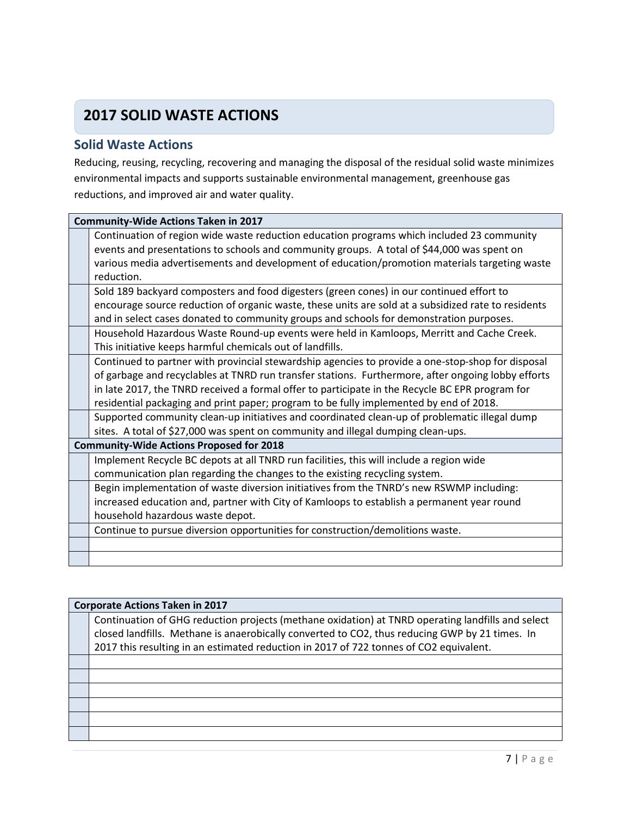## **2017 SOLID WASTE ACTIONS**

### **Solid Waste Actions**

Reducing, reusing, recycling, recovering and managing the disposal of the residual solid waste minimizes environmental impacts and supports sustainable environmental management, greenhouse gas reductions, and improved air and water quality.

| <b>Community-Wide Actions Taken in 2017</b>                                                         |  |  |
|-----------------------------------------------------------------------------------------------------|--|--|
| Continuation of region wide waste reduction education programs which included 23 community          |  |  |
| events and presentations to schools and community groups. A total of \$44,000 was spent on          |  |  |
| various media advertisements and development of education/promotion materials targeting waste       |  |  |
| reduction.                                                                                          |  |  |
| Sold 189 backyard composters and food digesters (green cones) in our continued effort to            |  |  |
| encourage source reduction of organic waste, these units are sold at a subsidized rate to residents |  |  |
| and in select cases donated to community groups and schools for demonstration purposes.             |  |  |
| Household Hazardous Waste Round-up events were held in Kamloops, Merritt and Cache Creek.           |  |  |
| This initiative keeps harmful chemicals out of landfills.                                           |  |  |
| Continued to partner with provincial stewardship agencies to provide a one-stop-shop for disposal   |  |  |
| of garbage and recyclables at TNRD run transfer stations. Furthermore, after ongoing lobby efforts  |  |  |
| in late 2017, the TNRD received a formal offer to participate in the Recycle BC EPR program for     |  |  |
| residential packaging and print paper; program to be fully implemented by end of 2018.              |  |  |
| Supported community clean-up initiatives and coordinated clean-up of problematic illegal dump       |  |  |
| sites. A total of \$27,000 was spent on community and illegal dumping clean-ups.                    |  |  |
| <b>Community-Wide Actions Proposed for 2018</b>                                                     |  |  |
| Implement Recycle BC depots at all TNRD run facilities, this will include a region wide             |  |  |
| communication plan regarding the changes to the existing recycling system.                          |  |  |
| Begin implementation of waste diversion initiatives from the TNRD's new RSWMP including:            |  |  |
| increased education and, partner with City of Kamloops to establish a permanent year round          |  |  |
| household hazardous waste depot.                                                                    |  |  |
| Continue to pursue diversion opportunities for construction/demolitions waste.                      |  |  |
|                                                                                                     |  |  |
|                                                                                                     |  |  |

| <b>Corporate Actions Taken in 2017</b>                                                            |  |  |
|---------------------------------------------------------------------------------------------------|--|--|
| Continuation of GHG reduction projects (methane oxidation) at TNRD operating landfills and select |  |  |
| closed landfills. Methane is anaerobically converted to CO2, thus reducing GWP by 21 times. In    |  |  |
| 2017 this resulting in an estimated reduction in 2017 of 722 tonnes of CO2 equivalent.            |  |  |
|                                                                                                   |  |  |
|                                                                                                   |  |  |
|                                                                                                   |  |  |
|                                                                                                   |  |  |
|                                                                                                   |  |  |
|                                                                                                   |  |  |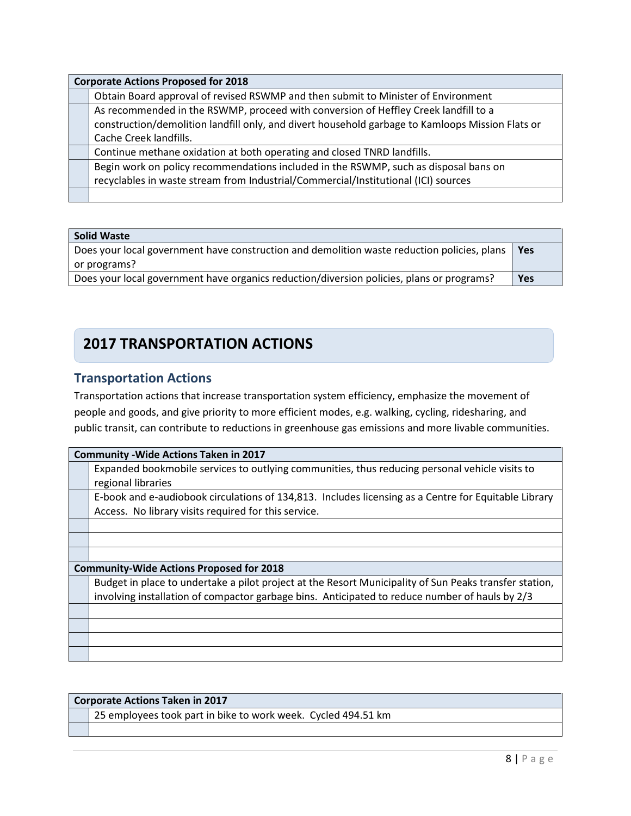| <b>Corporate Actions Proposed for 2018</b>                                                       |  |  |
|--------------------------------------------------------------------------------------------------|--|--|
| Obtain Board approval of revised RSWMP and then submit to Minister of Environment                |  |  |
| As recommended in the RSWMP, proceed with conversion of Heffley Creek landfill to a              |  |  |
| construction/demolition landfill only, and divert household garbage to Kamloops Mission Flats or |  |  |
| Cache Creek landfills.                                                                           |  |  |
| Continue methane oxidation at both operating and closed TNRD landfills.                          |  |  |
| Begin work on policy recommendations included in the RSWMP, such as disposal bans on             |  |  |
| recyclables in waste stream from Industrial/Commercial/Institutional (ICI) sources               |  |  |
|                                                                                                  |  |  |

| Solid Waste                                                                                 |            |
|---------------------------------------------------------------------------------------------|------------|
| Does your local government have construction and demolition waste reduction policies, plans | <b>Yes</b> |
| or programs?                                                                                |            |
| Does your local government have organics reduction/diversion policies, plans or programs?   | <b>Yes</b> |

## **2017 TRANSPORTATION ACTIONS**

## **Transportation Actions**

Transportation actions that increase transportation system efficiency, emphasize the movement of people and goods, and give priority to more efficient modes, e.g. walking, cycling, ridesharing, and public transit, can contribute to reductions in greenhouse gas emissions and more livable communities.

| <b>Community - Wide Actions Taken in 2017</b>                                                          |  |  |
|--------------------------------------------------------------------------------------------------------|--|--|
| Expanded bookmobile services to outlying communities, thus reducing personal vehicle visits to         |  |  |
| regional libraries                                                                                     |  |  |
| E-book and e-audiobook circulations of 134,813. Includes licensing as a Centre for Equitable Library   |  |  |
| Access. No library visits required for this service.                                                   |  |  |
|                                                                                                        |  |  |
|                                                                                                        |  |  |
|                                                                                                        |  |  |
| <b>Community-Wide Actions Proposed for 2018</b>                                                        |  |  |
| Budget in place to undertake a pilot project at the Resort Municipality of Sun Peaks transfer station, |  |  |
| involving installation of compactor garbage bins. Anticipated to reduce number of hauls by 2/3         |  |  |
|                                                                                                        |  |  |
|                                                                                                        |  |  |
|                                                                                                        |  |  |
|                                                                                                        |  |  |

| Corporate Actions Taken in 2017                               |  |  |
|---------------------------------------------------------------|--|--|
| 25 employees took part in bike to work week. Cycled 494.51 km |  |  |
|                                                               |  |  |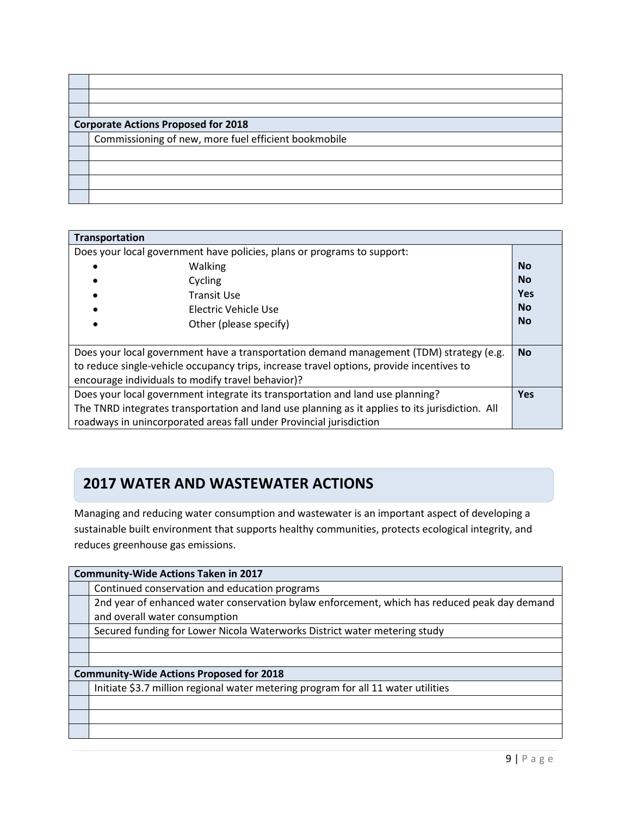| <b>Corporate Actions Proposed for 2018</b>           |  |  |
|------------------------------------------------------|--|--|
| Commissioning of new, more fuel efficient bookmobile |  |  |
|                                                      |  |  |
|                                                      |  |  |
|                                                      |  |  |
|                                                      |  |  |

| <b>Transportation</b>                                                                    |                                                                                                 |            |
|------------------------------------------------------------------------------------------|-------------------------------------------------------------------------------------------------|------------|
| Does your local government have policies, plans or programs to support:                  |                                                                                                 |            |
|                                                                                          | Walking                                                                                         | <b>No</b>  |
| Cycling                                                                                  |                                                                                                 | <b>No</b>  |
|                                                                                          | Transit Use                                                                                     | <b>Yes</b> |
|                                                                                          | Electric Vehicle Use                                                                            | <b>No</b>  |
|                                                                                          | Other (please specify)                                                                          | <b>No</b>  |
|                                                                                          |                                                                                                 |            |
|                                                                                          | Does your local government have a transportation demand management (TDM) strategy (e.g.         | <b>No</b>  |
| to reduce single-vehicle occupancy trips, increase travel options, provide incentives to |                                                                                                 |            |
| encourage individuals to modify travel behavior)?                                        |                                                                                                 |            |
|                                                                                          | Does your local government integrate its transportation and land use planning?                  | <b>Yes</b> |
|                                                                                          | The TNRD integrates transportation and land use planning as it applies to its jurisdiction. All |            |
|                                                                                          | roadways in unincorporated areas fall under Provincial jurisdiction                             |            |

### **Water and Wastewater Actions 2017 WATER AND WASTEWATER ACTIONS**

 $\Gamma$ ┓

> Managing and reducing water consumption and wastewater is an important aspect of developing a sustainable built environment that supports healthy communities, protects ecological integrity, and reduces greenhouse gas emissions.

| <b>Community-Wide Actions Taken in 2017</b>     |                                                                                              |  |
|-------------------------------------------------|----------------------------------------------------------------------------------------------|--|
|                                                 | Continued conservation and education programs                                                |  |
|                                                 | 2nd year of enhanced water conservation bylaw enforcement, which has reduced peak day demand |  |
|                                                 | and overall water consumption                                                                |  |
|                                                 | Secured funding for Lower Nicola Waterworks District water metering study                    |  |
|                                                 |                                                                                              |  |
|                                                 |                                                                                              |  |
| <b>Community-Wide Actions Proposed for 2018</b> |                                                                                              |  |
|                                                 |                                                                                              |  |
|                                                 | Initiate \$3.7 million regional water metering program for all 11 water utilities            |  |
|                                                 |                                                                                              |  |
|                                                 |                                                                                              |  |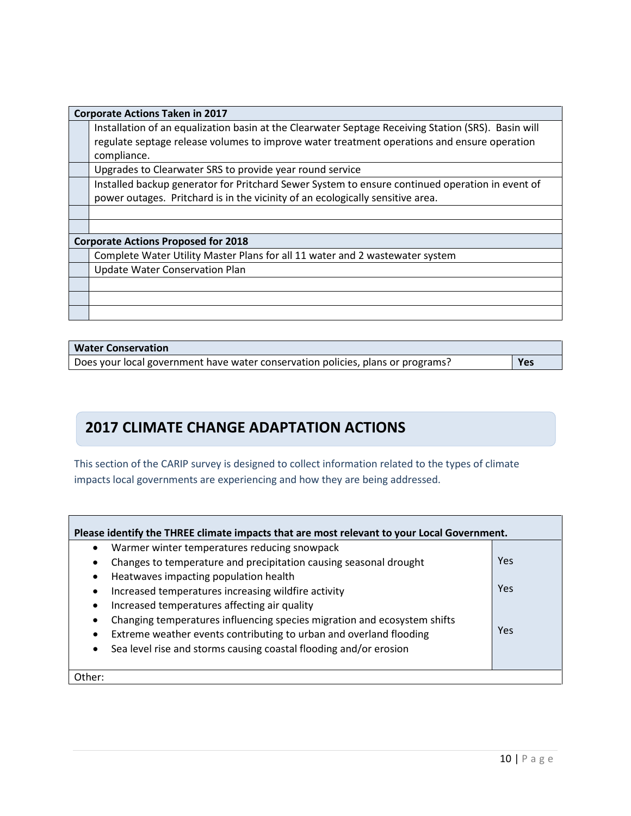| <b>Corporate Actions Taken in 2017</b>     |                                                                                                     |  |
|--------------------------------------------|-----------------------------------------------------------------------------------------------------|--|
|                                            | Installation of an equalization basin at the Clearwater Septage Receiving Station (SRS). Basin will |  |
|                                            | regulate septage release volumes to improve water treatment operations and ensure operation         |  |
|                                            | compliance.                                                                                         |  |
|                                            | Upgrades to Clearwater SRS to provide year round service                                            |  |
|                                            | Installed backup generator for Pritchard Sewer System to ensure continued operation in event of     |  |
|                                            | power outages. Pritchard is in the vicinity of an ecologically sensitive area.                      |  |
|                                            |                                                                                                     |  |
|                                            |                                                                                                     |  |
| <b>Corporate Actions Proposed for 2018</b> |                                                                                                     |  |
|                                            | Complete Water Utility Master Plans for all 11 water and 2 wastewater system                        |  |
|                                            | <b>Update Water Conservation Plan</b>                                                               |  |
|                                            |                                                                                                     |  |
|                                            |                                                                                                     |  |
|                                            |                                                                                                     |  |

#### **Water Conservation**

Does your local government have water conservation policies, plans or programs? **Yes**

## **2017 CLIMATE CHANGE ADAPTATION ACTIONS**

This section of the CARIP survey is designed to collect information related to the types of climate impacts local governments are experiencing and how they are being addressed.

| Please identify the THREE climate impacts that are most relevant to your Local Government.<br>Warmer winter temperatures reducing snowpack |     |  |
|--------------------------------------------------------------------------------------------------------------------------------------------|-----|--|
| Changes to temperature and precipitation causing seasonal drought<br>$\bullet$                                                             | Yes |  |
| Heatwaves impacting population health<br>٠                                                                                                 |     |  |
| Increased temperatures increasing wildfire activity<br>$\bullet$                                                                           | Yes |  |
| Increased temperatures affecting air quality<br>$\bullet$                                                                                  |     |  |
| Changing temperatures influencing species migration and ecosystem shifts<br>$\bullet$                                                      |     |  |
| Extreme weather events contributing to urban and overland flooding<br>٠                                                                    | Yes |  |
| Sea level rise and storms causing coastal flooding and/or erosion<br>$\bullet$                                                             |     |  |
| Other:                                                                                                                                     |     |  |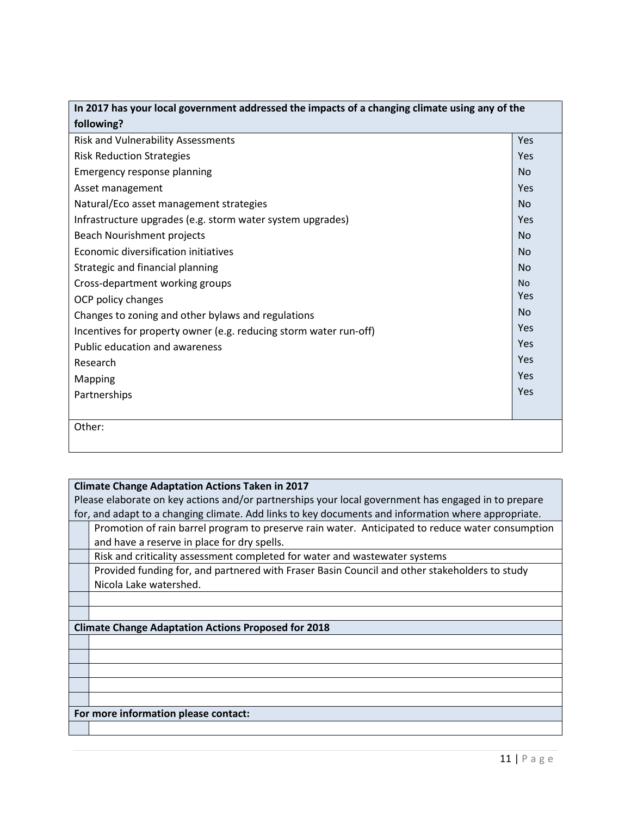| In 2017 has your local government addressed the impacts of a changing climate using any of the |           |
|------------------------------------------------------------------------------------------------|-----------|
| following?                                                                                     |           |
| Risk and Vulnerability Assessments                                                             | Yes       |
| <b>Risk Reduction Strategies</b>                                                               | Yes       |
| Emergency response planning                                                                    | <b>No</b> |
| Asset management                                                                               | Yes       |
| Natural/Eco asset management strategies                                                        | <b>No</b> |
| Infrastructure upgrades (e.g. storm water system upgrades)                                     | Yes       |
| Beach Nourishment projects                                                                     | <b>No</b> |
| Economic diversification initiatives                                                           | <b>No</b> |
| Strategic and financial planning                                                               | No        |
| Cross-department working groups                                                                | <b>No</b> |
| OCP policy changes                                                                             | Yes       |
| Changes to zoning and other bylaws and regulations                                             | <b>No</b> |
| Incentives for property owner (e.g. reducing storm water run-off)                              | Yes       |
| Public education and awareness                                                                 | Yes       |
| Research                                                                                       | Yes       |
| <b>Mapping</b>                                                                                 | Yes       |
| Partnerships                                                                                   | Yes       |
|                                                                                                |           |
| Other:                                                                                         |           |
|                                                                                                |           |

#### **Climate Change Adaptation Actions Taken in 2017**

Please elaborate on key actions and/or partnerships your local government has engaged in to prepare for, and adapt to a changing climate. Add links to key documents and information where appropriate.

Promotion of rain barrel program to preserve rain water. Anticipated to reduce water consumption and have a reserve in place for dry spells.

Risk and criticality assessment completed for water and wastewater systems

Provided funding for, and partnered with Fraser Basin Council and other stakeholders to study Nicola Lake watershed.

#### **Climate Change Adaptation Actions Proposed for 2018**

#### **For more information please contact:**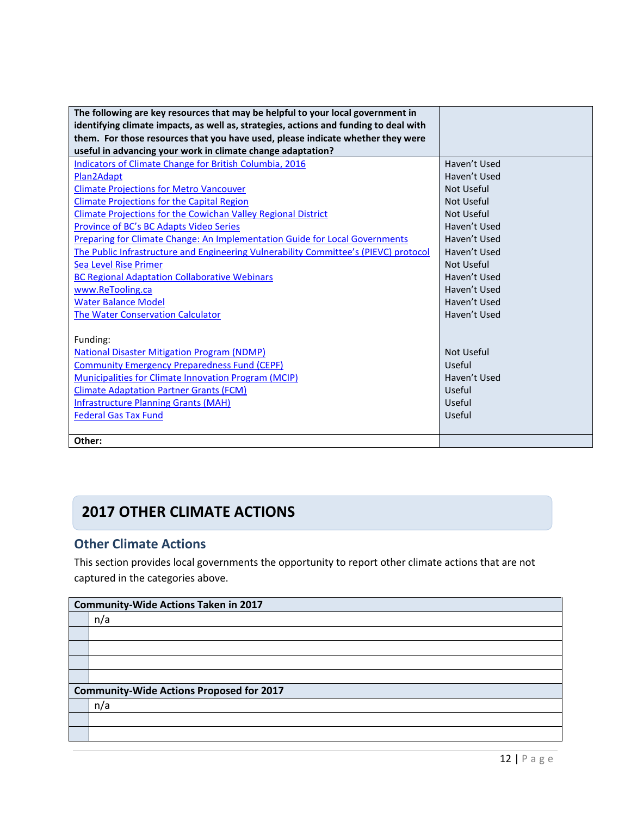| The following are key resources that may be helpful to your local government in<br>identifying climate impacts, as well as, strategies, actions and funding to deal with |                   |
|--------------------------------------------------------------------------------------------------------------------------------------------------------------------------|-------------------|
| them. For those resources that you have used, please indicate whether they were                                                                                          |                   |
| useful in advancing your work in climate change adaptation?                                                                                                              |                   |
| <b>Indicators of Climate Change for British Columbia, 2016</b>                                                                                                           | Haven't Used      |
| Plan2Adapt                                                                                                                                                               | Haven't Used      |
| <b>Climate Projections for Metro Vancouver</b>                                                                                                                           | Not Useful        |
| <b>Climate Projections for the Capital Region</b>                                                                                                                        | Not Useful        |
| Climate Projections for the Cowichan Valley Regional District                                                                                                            | <b>Not Useful</b> |
| Province of BC's BC Adapts Video Series                                                                                                                                  | Haven't Used      |
| Preparing for Climate Change: An Implementation Guide for Local Governments                                                                                              | Haven't Used      |
| The Public Infrastructure and Engineering Vulnerability Committee's (PIEVC) protocol                                                                                     | Haven't Used      |
| <b>Sea Level Rise Primer</b>                                                                                                                                             | Not Useful        |
| <b>BC Regional Adaptation Collaborative Webinars</b>                                                                                                                     | Haven't Used      |
| www.ReTooling.ca                                                                                                                                                         | Haven't Used      |
| <b>Water Balance Model</b>                                                                                                                                               | Haven't Used      |
| <b>The Water Conservation Calculator</b>                                                                                                                                 | Haven't Used      |
|                                                                                                                                                                          |                   |
| Funding:                                                                                                                                                                 |                   |
| <b>National Disaster Mitigation Program (NDMP)</b>                                                                                                                       | Not Useful        |
| <b>Community Emergency Preparedness Fund (CEPF)</b>                                                                                                                      | Useful            |
| Municipalities for Climate Innovation Program (MCIP)                                                                                                                     | Haven't Used      |
| <b>Climate Adaptation Partner Grants (FCM)</b>                                                                                                                           | Useful            |
| <b>Infrastructure Planning Grants (MAH)</b>                                                                                                                              | Useful            |
| <b>Federal Gas Tax Fund</b>                                                                                                                                              | Useful            |
|                                                                                                                                                                          |                   |
| Other:                                                                                                                                                                   |                   |

## **2017 OTHER CLIMATE ACTIONS**

## **Other Climate Actions**

This section provides local governments the opportunity to report other climate actions that are not captured in the categories above.

| <b>Community-Wide Actions Taken in 2017</b>     |  |
|-------------------------------------------------|--|
| n/a                                             |  |
|                                                 |  |
|                                                 |  |
|                                                 |  |
|                                                 |  |
| <b>Community-Wide Actions Proposed for 2017</b> |  |
| n/a                                             |  |
|                                                 |  |
|                                                 |  |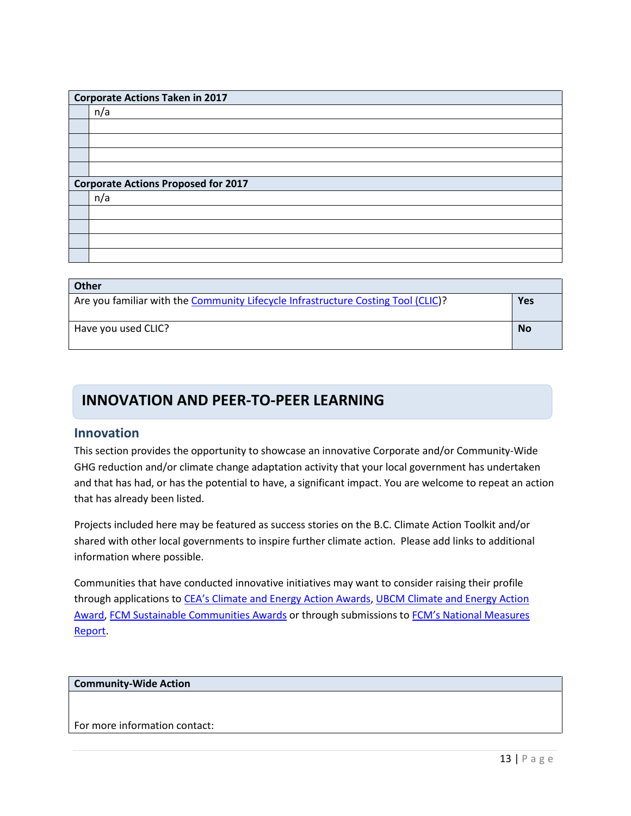|                                            | <b>Corporate Actions Taken in 2017</b> |  |
|--------------------------------------------|----------------------------------------|--|
|                                            | n/a                                    |  |
|                                            |                                        |  |
|                                            |                                        |  |
|                                            |                                        |  |
|                                            |                                        |  |
| <b>Corporate Actions Proposed for 2017</b> |                                        |  |
|                                            | n/a                                    |  |
|                                            |                                        |  |
|                                            |                                        |  |
|                                            |                                        |  |
|                                            |                                        |  |

| Other                                                                             |           |
|-----------------------------------------------------------------------------------|-----------|
| Are you familiar with the Community Lifecycle Infrastructure Costing Tool (CLIC)? | Yes       |
|                                                                                   |           |
|                                                                                   |           |
| Have you used CLIC?                                                               | <b>No</b> |
|                                                                                   |           |
|                                                                                   |           |

## **INNOVATION AND PEER-TO-PEER LEARNING**

### **Innovation**

This section provides the opportunity to showcase an innovative Corporate and/or Community-Wide GHG reduction and/or climate change adaptation activity that your local government has undertaken and that has had, or has the potential to have, a significant impact. You are welcome to repeat an action that has already been listed.

Projects included here may be featured as success stories on the B.C. Climate Action Toolkit and/or shared with other local governments to inspire further climate action. Please add links to additional information where possible.

Communities that have conducted innovative initiatives may want to consider raising their profile through applications t[o CEA's Climate and Energy Action Awards,](http://communityenergy.bc.ca/climate-and-energy-action-awards/) UBCM Climate and Energy Action [Award,](http://www.ubcm.ca/EN/meta/news/news-archive/2016-archive/climate-and-energy-action-awards.html) [FCM Sustainable Communities Awards](https://fcm.ca/home/awards/sustainable-communities-awards.htm) or through submissions to [FCM's National Measures](https://fcm.ca/home/programs/partners-for-climate-protection/national-measures-report.htm)  [Report.](https://fcm.ca/home/programs/partners-for-climate-protection/national-measures-report.htm)

#### **Community-Wide Action**

For more information contact: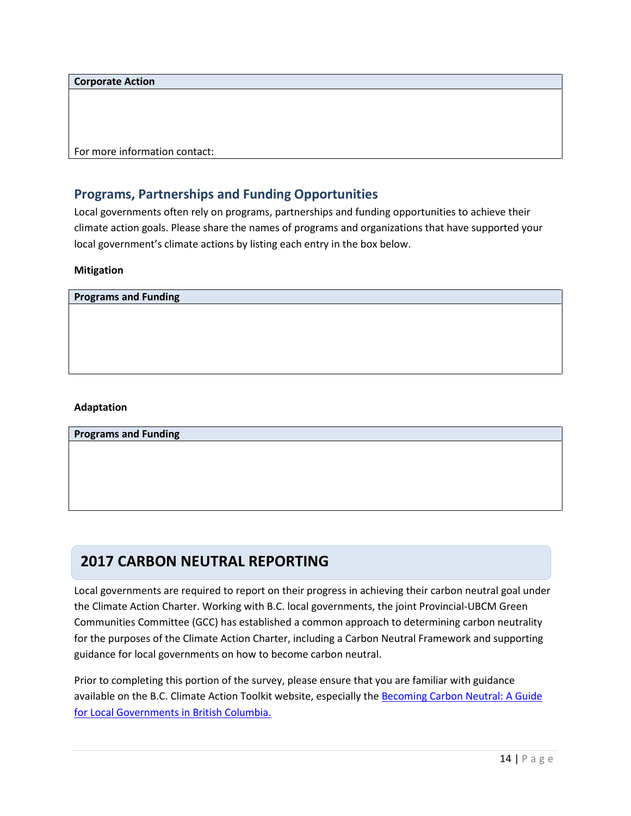**Corporate Action**

For more information contact:

### **Programs, Partnerships and Funding Opportunities**

Local governments often rely on programs, partnerships and funding opportunities to achieve their climate action goals. Please share the names of programs and organizations that have supported your local government's climate actions by listing each entry in the box below.

#### **Mitigation**

**Programs and Funding**

#### **Adaptation**

**Programs and Funding**

## **2017 CARBON NEUTRAL REPORTING**

Local governments are required to report on their progress in achieving their carbon neutral goal under the Climate Action Charter. Working with B.C. local governments, the joint Provincial-UBCM Green Communities Committee (GCC) has established a common approach to determining carbon neutrality for the purposes of the Climate Action Charter, including a Carbon Neutral Framework and supporting guidance for local governments on how to become carbon neutral.

Prior to completing this portion of the survey, please ensure that you are familiar with guidance available on the B.C. Climate Action Toolkit website, especially the [Becoming Carbon Neutral:](http://www.toolkit.bc.ca/sites/default/files/Becoming%20Carbon%20Neutral%20V3%20FINAL%20July%202014_0.pdf) A Guide [for Local Governments in British Columbia.](http://www.toolkit.bc.ca/sites/default/files/Becoming%20Carbon%20Neutral%20V3%20FINAL%20July%202014_0.pdf)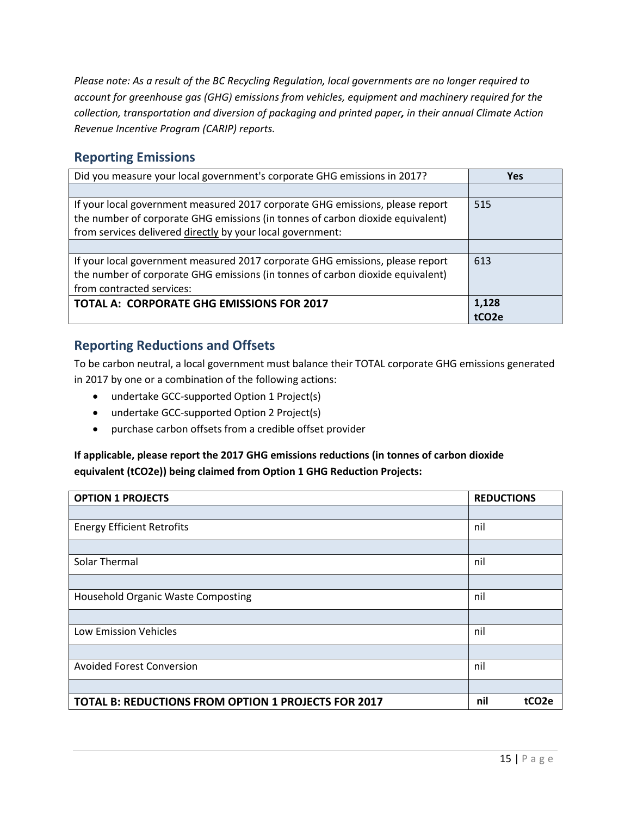*Please note: As a result of the BC Recycling Regulation, local governments are no longer required to account for greenhouse gas (GHG) emissions from vehicles, equipment and machinery required for the collection, transportation and diversion of packaging and printed paper, in their annual Climate Action Revenue Incentive Program (CARIP) reports.*

## **Reporting Emissions**

| Did you measure your local government's corporate GHG emissions in 2017?                                                                                                                                                      | <b>Yes</b>         |
|-------------------------------------------------------------------------------------------------------------------------------------------------------------------------------------------------------------------------------|--------------------|
|                                                                                                                                                                                                                               |                    |
| If your local government measured 2017 corporate GHG emissions, please report<br>the number of corporate GHG emissions (in tonnes of carbon dioxide equivalent)<br>from services delivered directly by your local government: | 515                |
|                                                                                                                                                                                                                               |                    |
| If your local government measured 2017 corporate GHG emissions, please report<br>the number of corporate GHG emissions (in tonnes of carbon dioxide equivalent)<br>from contracted services:                                  | 613                |
| <b>TOTAL A: CORPORATE GHG EMISSIONS FOR 2017</b>                                                                                                                                                                              | 1,128              |
|                                                                                                                                                                                                                               | tCO <sub>2</sub> e |

## **Reporting Reductions and Offsets**

To be carbon neutral, a local government must balance their TOTAL corporate GHG emissions generated in 2017 by one or a combination of the following actions:

- undertake GCC-supported Option 1 Project(s)
- undertake GCC-supported Option 2 Project(s)
- purchase carbon offsets from a credible offset provider

### **If applicable, please report the 2017 GHG emissions reductions (in tonnes of carbon dioxide equivalent (tCO2e)) being claimed from Option 1 GHG Reduction Projects:**

| <b>OPTION 1 PROJECTS</b>                                   | <b>REDUCTIONS</b>         |
|------------------------------------------------------------|---------------------------|
|                                                            |                           |
| <b>Energy Efficient Retrofits</b>                          | nil                       |
|                                                            |                           |
| Solar Thermal                                              | nil                       |
|                                                            |                           |
| <b>Household Organic Waste Composting</b>                  | nil                       |
|                                                            |                           |
| Low Emission Vehicles                                      | nil                       |
|                                                            |                           |
| <b>Avoided Forest Conversion</b>                           | nil                       |
|                                                            |                           |
| <b>TOTAL B: REDUCTIONS FROM OPTION 1 PROJECTS FOR 2017</b> | nil<br>tCO <sub>2</sub> e |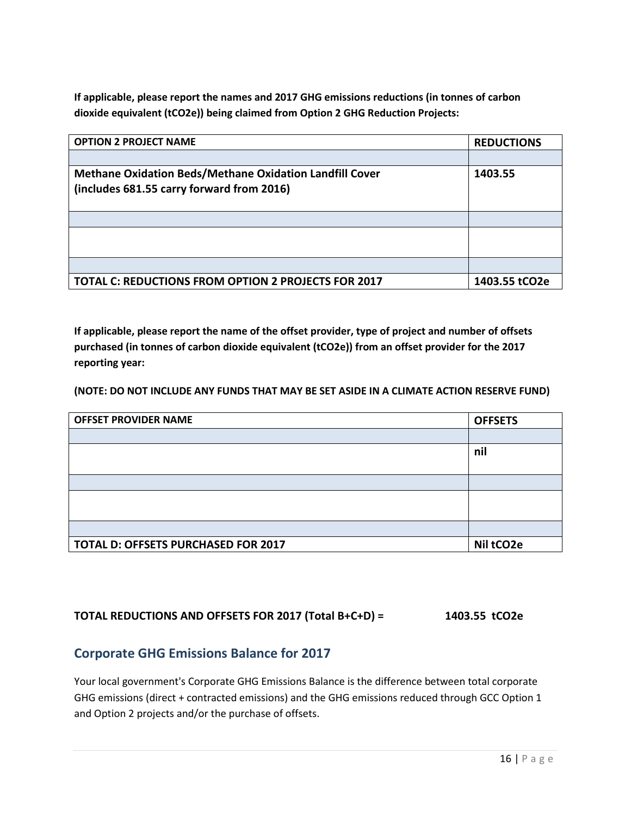**If applicable, please report the names and 2017 GHG emissions reductions (in tonnes of carbon dioxide equivalent (tCO2e)) being claimed from Option 2 GHG Reduction Projects:**

| <b>OPTION 2 PROJECT NAME</b>                                   | <b>REDUCTIONS</b> |
|----------------------------------------------------------------|-------------------|
|                                                                |                   |
| <b>Methane Oxidation Beds/Methane Oxidation Landfill Cover</b> | 1403.55           |
| (includes 681.55 carry forward from 2016)                      |                   |
|                                                                |                   |
|                                                                |                   |
|                                                                |                   |
|                                                                |                   |
|                                                                |                   |
| TOTAL C: REDUCTIONS FROM OPTION 2 PROJECTS FOR 2017            | 1403.55 tCO2e     |

**If applicable, please report the name of the offset provider, type of project and number of offsets purchased (in tonnes of carbon dioxide equivalent (tCO2e)) from an offset provider for the 2017 reporting year:**

**(NOTE: DO NOT INCLUDE ANY FUNDS THAT MAY BE SET ASIDE IN A CLIMATE ACTION RESERVE FUND)**

| <b>OFFSET PROVIDER NAME</b>                | <b>OFFSETS</b> |
|--------------------------------------------|----------------|
|                                            |                |
|                                            | nil            |
|                                            |                |
|                                            |                |
|                                            |                |
|                                            |                |
|                                            |                |
| <b>TOTAL D: OFFSETS PURCHASED FOR 2017</b> | Nil tCO2e      |

### **TOTAL REDUCTIONS AND OFFSETS FOR 2017 (Total B+C+D) = 1403.55 tCO2e**

### **Corporate GHG Emissions Balance for 2017**

Your local government's Corporate GHG Emissions Balance is the difference between total corporate GHG emissions (direct + contracted emissions) and the GHG emissions reduced through GCC Option 1 and Option 2 projects and/or the purchase of offsets.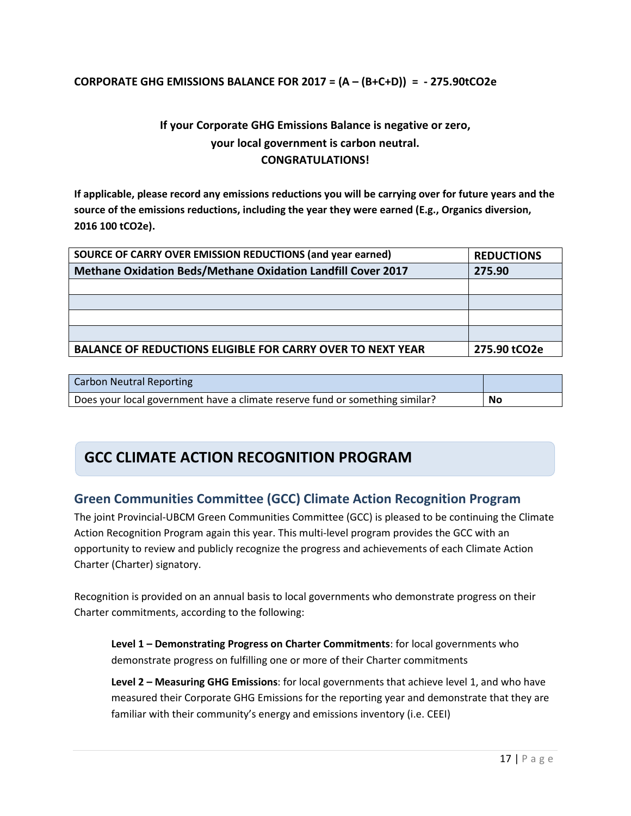#### **CORPORATE GHG EMISSIONS BALANCE FOR 2017 = (A – (B+C+D)) = - 275.90tCO2e**

## **If your Corporate GHG Emissions Balance is negative or zero, your local government is carbon neutral. CONGRATULATIONS!**

**If applicable, please record any emissions reductions you will be carrying over for future years and the source of the emissions reductions, including the year they were earned (E.g., Organics diversion, 2016 100 tCO2e).** 

| SOURCE OF CARRY OVER EMISSION REDUCTIONS (and year earned)          | <b>REDUCTIONS</b> |
|---------------------------------------------------------------------|-------------------|
| <b>Methane Oxidation Beds/Methane Oxidation Landfill Cover 2017</b> | 275.90            |
|                                                                     |                   |
|                                                                     |                   |
|                                                                     |                   |
|                                                                     |                   |
| <b>BALANCE OF REDUCTIONS ELIGIBLE FOR CARRY OVER TO NEXT YEAR</b>   | 275.90 tCO2e      |

| <b>Carbon Neutral Reporting</b>                                              |    |
|------------------------------------------------------------------------------|----|
| Does your local government have a climate reserve fund or something similar? | No |

## **GCC CLIMATE ACTION RECOGNITION PROGRAM**

## **Green Communities Committee (GCC) Climate Action Recognition Program**

The joint Provincial-UBCM Green Communities Committee (GCC) is pleased to be continuing the Climate Action Recognition Program again this year. This multi-level program provides the GCC with an opportunity to review and publicly recognize the progress and achievements of each Climate Action Charter (Charter) signatory.

Recognition is provided on an annual basis to local governments who demonstrate progress on their Charter commitments, according to the following:

**Level 1 – Demonstrating Progress on Charter Commitments**: for local governments who demonstrate progress on fulfilling one or more of their Charter commitments

**Level 2 – Measuring GHG Emissions**: for local governments that achieve level 1, and who have measured their Corporate GHG Emissions for the reporting year and demonstrate that they are familiar with their community's energy and emissions inventory (i.e. CEEI)